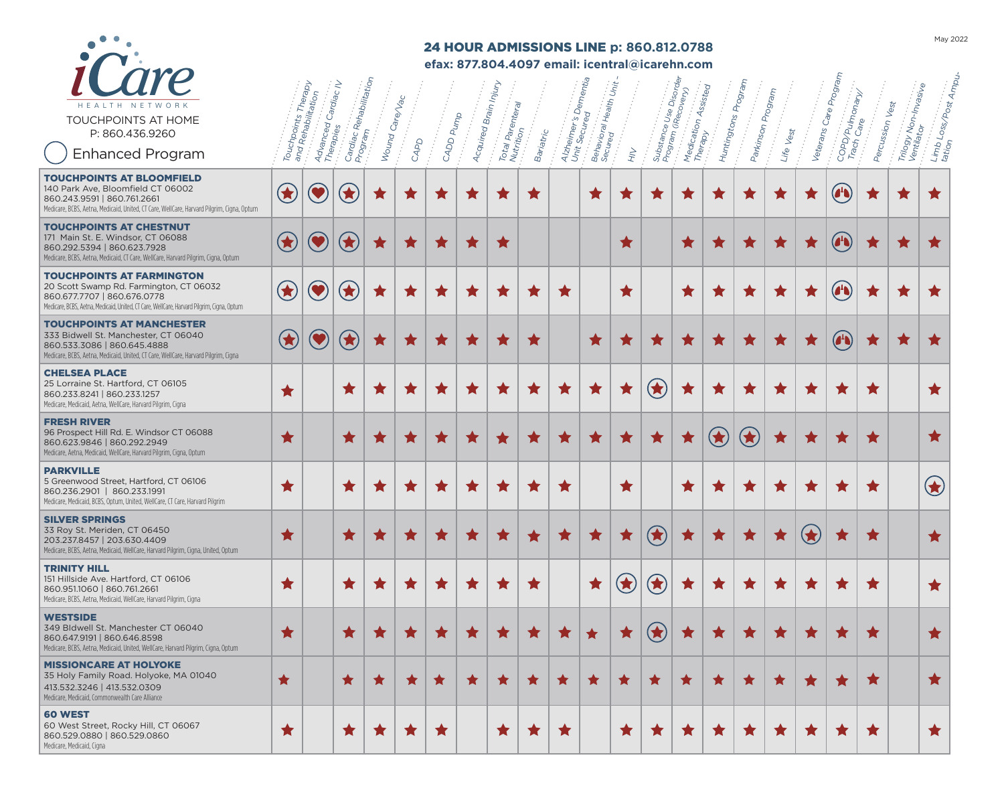

# 24 HOUR ADMISSIONS LINE **p: 860.812.0788**

**efax: 877.804.4097 email: icentral@icarehn.com**

| HEALTH NETWORK<br>TOUCHPOINTS AT HOME<br>P: 860.436.9260<br><b>Enhanced Program</b>                                                                                                                     | Touchpo    | chpoints Therapy<br>1 Rehabilitation<br>Advanced (<br>Therapies | : Rehabilitation<br>Cardiac /<br>Cardiac Ri<br>Program | Wound Care/Vac | CAPD       | CADD Pump      | Acquired Brain <sub>II</sub> | Injur<br>Total Parenteral<br>Nutrition | Bariatric  | Alzheimer's Dementia<br>Unit Securan | Behavioral<br>Secured | Health Unit.<br>$\overrightarrow{H}$ |                         | Disord,<br>Medication Assisted<br>Substance Use Disordi<br>  Program (Recovery)<br> | Huntingtons <sub>F</sub> | Program<br>Parkinson / | Program<br>Life Vest | Veterans <sub>(</sub>     | Progran<br>COPD/Pulmonary/<br>Trach Care<br>Care         | Percussion Vest | Trilogy Non-Invasi <sub>Ve</sub><br>Ventilator | Limb Loss/Post Ampu            |
|---------------------------------------------------------------------------------------------------------------------------------------------------------------------------------------------------------|------------|-----------------------------------------------------------------|--------------------------------------------------------|----------------|------------|----------------|------------------------------|----------------------------------------|------------|--------------------------------------|-----------------------|--------------------------------------|-------------------------|-------------------------------------------------------------------------------------|--------------------------|------------------------|----------------------|---------------------------|----------------------------------------------------------|-----------------|------------------------------------------------|--------------------------------|
| <b>TOUCHPOINTS AT BLOOMFIELD</b><br>140 Park Ave, Bloomfield CT 06002<br>860.243.9591   860.761.2661<br>Medicare, BCBS, Aetna, Medicaid, United, CT Care, WellCare, Harvard Pilgrim, Cigna, Optum       | $\bigcirc$ |                                                                 | $\bigodot$                                             | ★              | ★          | ★              | ★                            | X                                      | ★          |                                      | ★                     | x                                    | ★                       | ★                                                                                   | ★                        | X                      | ★                    | ★                         | $\left( \begin{matrix} 1 \\ 1 \\ 0 \end{matrix} \right)$ | X               | ★                                              | $\blacksquare$                 |
| <b>TOUCHPOINTS AT CHESTNUT</b><br>171 Main St. E. Windsor, CT 06088<br>860.292.5394   860.623.7928<br>Medicare, BCBS, Aetna, Medicaid, CT Care, WellCare, Harvard Pilgrim, Cigna, Optum                 | $\bigcirc$ | $\bullet$                                                       | $\bigcirc$                                             | ★              | ★          |                |                              |                                        |            |                                      |                       | $\star$                              |                         | ★                                                                                   | ★                        | ★                      | ★                    |                           | $\left( \begin{matrix} 1 \\ 1 \end{matrix} \right)$      |                 |                                                |                                |
| <b>TOUCHPOINTS AT FARMINGTON</b><br>20 Scott Swamp Rd. Farmington, CT 06032<br>860.677.7707   860.676.0778<br>Medicare, BCBS, Aetna, Medicaid, United, CT Care, WellCare, Harvard Pilgrim, Cigna, Optum | $\bigcirc$ |                                                                 | $\mathbf{r}$                                           | ★              | ★          | ★              | ★                            | ★                                      | ★          | ★                                    |                       | ★                                    |                         | ★                                                                                   | ★                        | ★                      | ★                    | ★                         | $\begin{pmatrix} 1 \\ 0 \end{pmatrix}$                   | ★               | ★                                              | $\star$                        |
| <b>TOUCHPOINTS AT MANCHESTER</b><br>333 Bidwell St. Manchester. CT 06040<br>860.533.3086   860.645.4888<br>Medicare, BCBS, Aetna, Medicaid, United, CT Care, WellCare, Harvard Pilgrim, Cigna           | $\bigcirc$ | $\bullet$                                                       | $\bigodot$                                             | ★              | ★          |                | ★                            |                                        | ★          |                                      | ★                     |                                      | ★                       |                                                                                     | ×                        |                        | ★                    |                           | $\mathbf{A}$                                             |                 | ★                                              |                                |
| <b>CHELSEA PLACE</b><br>25 Lorraine St. Hartford, CT 06105<br>860.233.8241   860.233.1257<br>Medicare, Medicaid, Aetna, WellCare, Harvard Pilgrim, Cigna                                                | ★          |                                                                 | ★                                                      | $\star$        | ★          | ★              | ★                            | ★                                      | ★          | ★                                    | ★                     | ★                                    | $\bigcirc$              | ★                                                                                   | ★                        | ★                      | ★                    | ★                         | ★                                                        | $\star$         |                                                | ★                              |
| <b>FRESH RIVER</b><br>96 Prospect Hill Rd. E. Windsor CT 06088<br>860.623.9846   860.292.2949<br>Medicare, Aetna, Medicaid, WellCare, Harvard Pilgrim, Cigna, Optum                                     | ★          |                                                                 | ★                                                      |                | ★          |                | ★                            | $\blacksquare$                         | ★          |                                      | ★                     | ★                                    | ★                       | ★                                                                                   | $\bigcirc$               | $\bigcirc$             |                      |                           |                                                          | $\bigstar$      |                                                | ★                              |
| <b>PARKVILLE</b><br>5 Greenwood Street, Hartford, CT 06106<br>860.236.2901   860.233.1991<br>Medicare, Medicaid, BCBS, Optum, United, WellCare, CT Care, Harvard Pilgrim                                | ★          |                                                                 | ★                                                      | $\star$        | ★          | ★              | ★                            | ★                                      | ★          | ★                                    |                       | ★                                    |                         | ★                                                                                   | ★                        | ★                      | ★                    | ★                         | ★                                                        | ★               |                                                | $\left( \blacklozenge \right)$ |
| <b>SILVER SPRINGS</b><br>33 Roy St. Meriden, CT 06450<br>203.237.8457   203.630.4409<br>Medicare, BCBS, Aetna, Medicaid, WellCare, Harvard Pilgrim, Cigna, United, Optum                                | ★          |                                                                 | ★                                                      | T              | ★          | $\blacksquare$ | ★                            | ×                                      | ★          | ★                                    | ★                     | ★                                    | $\bigcirc$              | ★                                                                                   | ★                        | ★                      | ★                    | $\left( \bigstar \right)$ | ★                                                        | ★               |                                                | ★                              |
| <b>TRINITY HILL</b><br>151 Hillside Ave. Hartford. CT 06106<br>860.951.1060   860.761.2661<br>Medicare, BCBS, Aetna, Medicaid, WellCare, Harvard Pilgrim, Cigna                                         | ★          |                                                                 | ★                                                      | $\blacksquare$ | $\star$    | $\blacksquare$ | ×                            | x                                      | ★          |                                      | ★                     |                                      | $\left(\bigstar\right)$ | ★                                                                                   | ★                        | <b>x</b>               | ★                    | $\blacksquare$            | $\,$ $\,$                                                | $\star$         |                                                | ★                              |
| <b>WESTSIDE</b><br>349 Bldwell St. Manchester CT 06040<br>860.647.9191   860.646.8598<br>Medicare, BCBS, Aetna, Medicaid, United, WellCare, Harvard Pilgrim, Cigna, Optum                               | ★          |                                                                 | $\bigstar$                                             | ★              | $\bigstar$ | $\bigstar$     | ★                            |                                        | $\bigstar$ | $\star$                              | $\bigstar$            | ★                                    | $\bigcirc$              | $\bigstar$                                                                          | $\,$ $\,$                |                        | $\bigstar$           |                           |                                                          | $\bigstar$      |                                                | ★                              |
| <b>MISSIONCARE AT HOLYOKE</b><br>35 Holy Family Road. Holyoke, MA 01040<br>413.532.3246   413.532.0309<br>Medicare, Medicaid, Commonwealth Care Alliance                                                | $\bigstar$ |                                                                 | ★                                                      | $\star$        | ★          | ★              | ★                            |                                        | $\bigstar$ | ★                                    | ★                     | ★                                    | ★                       | ★                                                                                   | ★                        |                        | $\bigstar$           | $\blacksquare$            | ★                                                        | ★               |                                                | $\bigstar$                     |
| 60 WEST<br>60 West Street, Rocky Hill, CT 06067<br>860.529.0880   860.529.0860<br>Medicare, Medicaid, Cigna                                                                                             | ★          |                                                                 | $\bigstar$                                             | ×              | $\star$    | $\star$        |                              | ★                                      | $\star$    | $\star$                              |                       | ★                                    | $\star$                 | $\star$                                                                             | ×                        | $\bullet$              | $\bigstar$           | $\star$                   | $\blacksquare$                                           | $\bigstar$      |                                                | $\bigstar$                     |